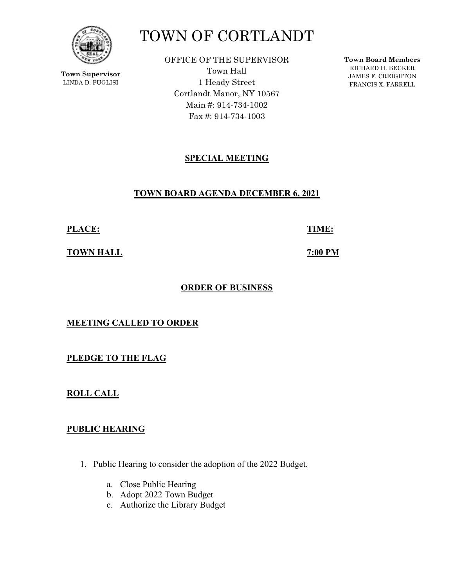

**Town Supervisor** LINDA D. PUGLISI

# TOWN OF CORTLANDT

OFFICE OF THE SUPERVISOR Town Hall 1 Heady Street Cortlandt Manor, NY 10567 Main #: 914-734-1002 Fax #: 914-734-1003

**Town Board Members** RICHARD H. BECKER JAMES F. CREIGHTON FRANCIS X. FARRELL

# **SPECIAL MEETING**

## **TOWN BOARD AGENDA DECEMBER 6, 2021**

**PLACE: TIME:** 

**TOWN HALL** *TOWN HALL* 

# **ORDER OF BUSINESS**

## **MEETING CALLED TO ORDER**

**PLEDGE TO THE FLAG** 

**ROLL CALL** 

## **PUBLIC HEARING**

- 1. Public Hearing to consider the adoption of the 2022 Budget.
	- a. Close Public Hearing
	- b. Adopt 2022 Town Budget
	- c. Authorize the Library Budget